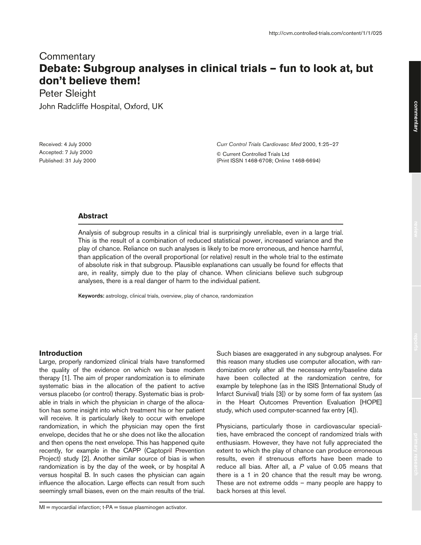# **Commentary Debate: Subgroup analyses in clinical trials — fun to look at, but don't believe them!**

Peter Sleight

John Radcliffe Hospital, Oxford, UK

Received: 4 July 2000 Accepted: 7 July 2000 Published: 31 July 2000 *Curr Control Trials Cardiovasc Med* 2000, **1**:25–27

© Current Controlled Trials Ltd (Print ISSN 1468-6708; Online 1468-6694)

## **Abstract**

Analysis of subgroup results in a clinical trial is surprisingly unreliable, even in a large trial. This is the result of a combination of reduced statistical power, increased variance and the play of chance. Reliance on such analyses is likely to be more erroneous, and hence harmful, than application of the overall proportional (or relative) result in the whole trial to the estimate of absolute risk in that subgroup. Plausible explanations can usually be found for effects that are, in reality, simply due to the play of chance. When clinicians believe such subgroup analyses, there is a real danger of harm to the individual patient.

**Keywords:** astrology, clinical trials, overview, play of chance, randomization

# **Introduction**

Large, properly randomized clinical trials have transformed the quality of the evidence on which we base modern therapy [1]. The aim of proper randomization is to eliminate systematic bias in the allocation of the patient to active versus placebo (or control) therapy. Systematic bias is probable in trials in which the physician in charge of the allocation has some insight into which treatment his or her patient will receive. It is particularly likely to occur with envelope randomization, in which the physician may open the first envelope, decides that he or she does not like the allocation and then opens the next envelope. This has happened quite recently, for example in the CAPP (Captopril Prevention Project) study [2]. Another similar source of bias is when randomization is by the day of the week, or by hospital A versus hospital B. In such cases the physician can again influence the allocation. Large effects can result from such seemingly small biases, even on the main results of the trial.

 $MI = myocardial infarction$ ;  $t-PA = tissue plasminogen activator$ .

Such biases are exaggerated in any subgroup analyses. For this reason many studies use computer allocation, with randomization only after all the necessary entry/baseline data have been collected at the randomization centre, for example by telephone (as in the ISIS [International Study of Infarct Survival] trials [3]) or by some form of fax system (as in the Heart Outcomes Prevention Evaluation [HOPE] study, which used computer-scanned fax entry [4]).

Physicians, particularly those in cardiovascular specialities, have embraced the concept of randomized trials with enthusiasm. However, they have not fully appreciated the extent to which the play of chance can produce erroneous results, even if strenuous efforts have been made to reduce all bias. After all, a *P* value of 0.05 means that there is a 1 in 20 chance that the result may be wrong. These are not extreme odds – many people are happy to back horses at this level.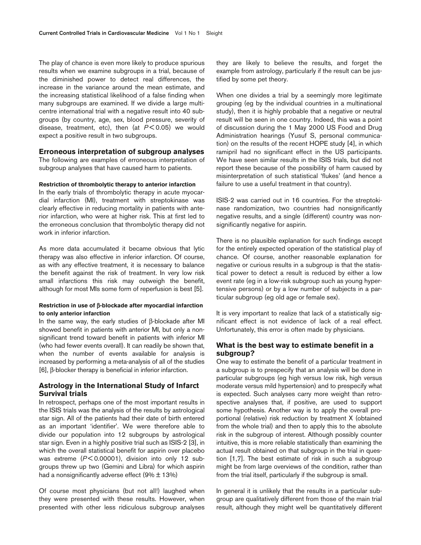The play of chance is even more likely to produce spurious results when we examine subgroups in a trial, because of the diminished power to detect real differences, the increase in the variance around the mean estimate, and the increasing statistical likelihood of a false finding when many subgroups are examined. If we divide a large multicentre international trial with a negative result into 40 subgroups (by country, age, sex, blood pressure, severity of disease, treatment, etc), then (at *P* < 0.05) we would expect a positive result in two subgroups.

#### **Erroneous interpretation of subgroup analyses**

The following are examples of erroneous interpretation of subgroup analyses that have caused harm to patients.

#### **Restriction of thrombolytic therapy to anterior infarction**

In the early trials of thrombolytic therapy in acute myocardial infarction (MI), treatment with streptokinase was clearly effective in reducing mortality in patients with anterior infarction, who were at higher risk. This at first led to the erroneous conclusion that thrombolytic therapy did not work in inferior infarction.

As more data accumulated it became obvious that lytic therapy was also effective in inferior infarction. Of course, as with any effective treatment, it is necessary to balance the benefit against the risk of treatment. In very low risk small infarctions this risk may outweigh the benefit, although for most MIs some form of reperfusion is best [5].

#### **Restriction in use of** β**-blockade after myocardial infarction to only anterior infarction**

In the same way, the early studies of β-blockade after MI showed benefit in patients with anterior MI, but only a nonsignificant trend toward benefit in patients with inferior MI (who had fewer events overall). It can readily be shown that, when the number of events available for analysis is increased by performing a meta-analysis of all of the studies [6], β-blocker therapy is beneficial in inferior infarction.

#### **Astrology in the International Study of Infarct Survival trials**

In retrospect, perhaps one of the most important results in the ISIS trials was the analysis of the results by astrological star sign. All of the patients had their date of birth entered as an important 'identifier'. We were therefore able to divide our population into 12 subgroups by astrological star sign. Even in a highly positive trial such as ISIS-2 [3], in which the overall statistical benefit for aspirin over placebo was extreme ( $P$ <0.00001), division into only 12 subgroups threw up two (Gemini and Libra) for which aspirin had a nonsignificantly adverse effect  $(9\% \pm 13\%)$ 

Of course most physicians (but not all!) laughed when they were presented with these results. However, when presented with other less ridiculous subgroup analyses

they are likely to believe the results, and forget the example from astrology, particularly if the result can be justified by some pet theory.

When one divides a trial by a seemingly more legitimate grouping (eg by the individual countries in a multinational study), then it is highly probable that a negative or neutral result will be seen in one country. Indeed, this was a point of discussion during the 1 May 2000 US Food and Drug Administration hearings (Yusuf S, personal communication) on the results of the recent HOPE study [4], in which ramipril had no significant effect in the US participants. We have seen similar results in the ISIS trials, but did not report these because of the possibility of harm caused by misinterpretation of such statistical 'flukes' (and hence a failure to use a useful treatment in that country).

ISIS-2 was carried out in 16 countries. For the streptokinase randomization, two countries had nonsignificantly negative results, and a single (different) country was nonsignificantly negative for aspirin.

There is no plausible explanation for such findings except for the entirely expected operation of the statistical play of chance. Of course, another reasonable explanation for negative or curious results in a subgroup is that the statistical power to detect a result is reduced by either a low event rate (eg in a low-risk subgroup such as young hypertensive persons) or by a low number of subjects in a particular subgroup (eg old age or female sex).

It is very important to realize that lack of a statistically significant effect is not evidence of lack of a real effect. Unfortunately, this error is often made by physicians.

# **What is the best way to estimate benefit in a subgroup?**

One way to estimate the benefit of a particular treatment in a subgroup is to prespecify that an analysis will be done in particular subgroups (eg high versus low risk, high versus moderate versus mild hypertension) and to prespecify what is expected. Such analyses carry more weight than retrospective analyses that, if positive, are used to support some hypothesis. Another way is to apply the overall proportional (relative) risk reduction by treatment X (obtained from the whole trial) and then to apply this to the absolute risk in the subgroup of interest. Although possibly counter intuitive, this is more reliable statistically than examining the actual result obtained on that subgroup in the trial in question [1,7]. The best estimate of risk in such a subgroup might be from large overviews of the condition, rather than from the trial itself, particularly if the subgroup is small.

In general it is unlikely that the results in a particular subgroup are qualitatively different from those of the main trial result, although they might well be quantitatively different